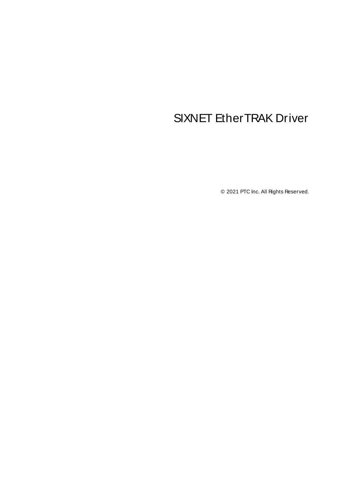# <span id="page-0-0"></span>SIXNET EtherTRAK Driver

© 2021 PTC Inc. All Rights Reserved.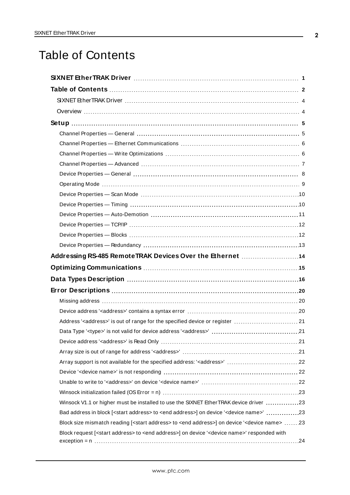# <span id="page-1-0"></span>Table of Contents

| Addressing RS-485 RemoteTRAK Devices Over the Ethernet  14                                                                  |  |
|-----------------------------------------------------------------------------------------------------------------------------|--|
|                                                                                                                             |  |
|                                                                                                                             |  |
|                                                                                                                             |  |
| Data Types Description manufacture and the USA of the USA of the USA of the USA of the USA of the USA of the U              |  |
|                                                                                                                             |  |
|                                                                                                                             |  |
|                                                                                                                             |  |
| Address' <address>' is out of range for the specified device or register  21</address>                                      |  |
|                                                                                                                             |  |
|                                                                                                                             |  |
|                                                                                                                             |  |
|                                                                                                                             |  |
|                                                                                                                             |  |
|                                                                                                                             |  |
| Winsock V1.1 or higher must be installed to use the SIXNET Ether TRAK device driver 23                                      |  |
| Bad address in block [ <start address=""> to <end address="">] on device '<device name="">' 23</device></end></start>       |  |
| Block size mismatch reading [ <start address=""> to <end address="">] on device '<device name=""> 23</device></end></start> |  |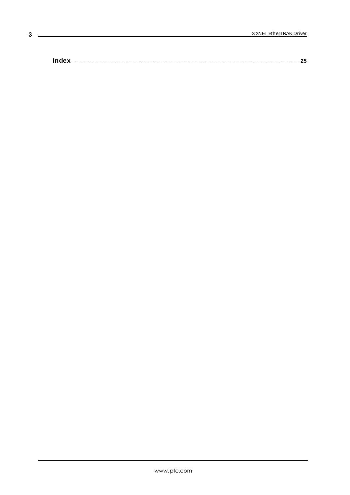**[Index](#page-24-0) [25](#page-24-0)**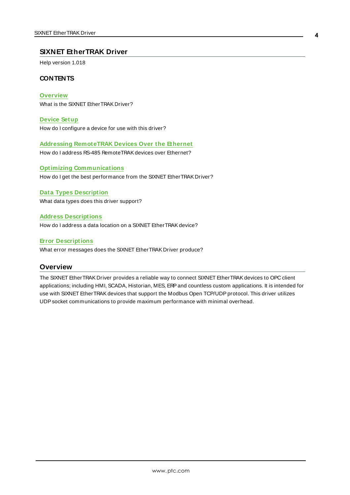#### <span id="page-3-0"></span>**SIXNET EtherTRAK Driver**

Help version 1.018

#### **CONTENTS**

**[Overview](#page-3-1)** What is the SIXNET EtherTRAK Driver?

**[Device](#page-4-0) Setup** How do I configure a device for use with this driver?

**Addressing [RemoteTRAK](#page-13-0) Devices Over the Ethernet**

How do I address RS-485 RemoteTRAK devices over Ethernet?

#### **Optimizing [Communications](#page-14-0)** How do I get the best performance from the SIXNET EtherTRAK Driver?

#### **Data Types [Description](#page-15-0)**

What data types does this driver support?

#### **Address [Descriptions](#page-17-0)**

How do I address a data location on a SIXNET EtherTRAKdevice?

#### **Error [Descriptions](#page-19-0)**

<span id="page-3-1"></span>What error messages does the SIXNET EtherTRAK Driver produce?

#### **Overview**

The SIXNET EtherTRAK Driver provides a reliable way to connect SIXNET EtherTRAKdevices to OPC client applications; including HMI, SCADA, Historian, MES, ERPand countless custom applications. It is intended for use with SIXNET Ether TRAK devices that support the Modbus Open TCP/UDP protocol. This driver utilizes UDPsocket communications to provide maximum performance with minimal overhead.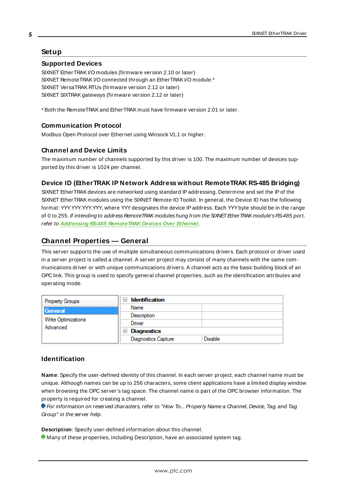#### <span id="page-4-0"></span>**Setup**

#### <span id="page-4-3"></span>**Supported Devices**

SIXNET EtherTRAKI/O modules (firmware version 2.10 or later) SIXNET RemoteTRAKI/O connected through an EtherTRAKI/O module.\* SIXNET VersaTRAK RTUs (firmware version 2.12 or later) SIXNET SIXTRAKgateways (firmware version 2.12 or later)

<span id="page-4-5"></span>\* Both the RemoteTRAKand EtherTRAK must have firmware version 2.01 or later.

#### <span id="page-4-4"></span>**Communication Protocol**

Modbus Open Protocol over Ethernet using Winsock V1.1 or higher.

#### **Channel and Device Limits**

The maximum number of channels supported by this driver is 100. The maximum number of devices supported by this driver is 1024 per channel.

#### <span id="page-4-2"></span>**Device ID (EtherTRAK IP Network Address without RemoteTRAK RS-485 Bridging)**

SIXNET EtherTRAKdevices are networked using standard IPaddressing. Determine and set the IPof the SIXNET EtherTRAK modules using the SIXNET Remote IO Toolkit. In general, the Device ID has the following format: YYY.YYY.YYY.YYY, where YYYdesignates the device IPaddress. Each YYYbyte should be in the range of 0 to 255. If intending to address RemoteTRAK modules hung from the SIXNET EtherTRAK module's RS-485 port, refer to **Addressing RS-485 [RemoteTRAK](#page-13-0) Devices Over Ethernet**.

#### <span id="page-4-1"></span>**Channel Properties — General**

This server supports the use of multiple simultaneous communications drivers. Each protocol or driver used in a server project is called a channel. A server project may consist of many channels with the same communications driver or with unique communications drivers. A channel acts as the basic building block of an OPC link. This group is used to specify general channel properties, such as the identification attributes and operating mode.

| <b>Property Groups</b>          | <b>Identification</b><br>$-1$ |                |
|---------------------------------|-------------------------------|----------------|
| General                         | Name                          |                |
| Write Optimizations<br>Advanced | Description                   |                |
|                                 | Driver                        |                |
|                                 | Diagnostics<br>$=$            |                |
|                                 | <b>Diagnostics Capture</b>    | <b>Disable</b> |

#### **Identification**

**Name**: Specify the user-defined identity of this channel. In each server project, each channel name must be unique. Although names can be up to 256 characters, some client applications have a limited display window when browsing the OPC server's tag space. The channel name is part of the OPC browser information. The property is required for creating a channel.

For information on reserved characters, refer to "How To... Properly Name a Channel, Device, Tag, and Tag Group" in the server help.

**Description**: Specify user-defined information about this channel.

Many of these properties, including Description, have an associated system tag.

**5**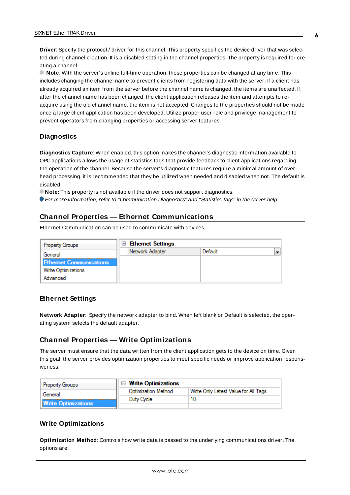**Driver**: Specify the protocol / driver for this channel. This property specifies the device driver that was selected during channel creation. It is a disabled setting in the channel properties. The property is required for creating a channel.

**Note**: With the server's online full-time operation, these properties can be changed at any time. This includes changing the channel name to prevent clients from registering data with the server. If a client has already acquired an item from the server before the channel name is changed, the items are unaffected. If, after the channel name has been changed, the client application releases the item and attempts to reacquire using the old channel name, the item is not accepted. Changes to the properties should not be made once a large client application has been developed. Utilize proper user role and privilege management to prevent operators from changing properties or accessing server features.

#### **Diagnostics**

**Diagnostics Capture**: When enabled, this option makes the channel's diagnostic information available to OPC applications allows the usage of statistics tags that provide feedback to client applications regarding the operation of the channel. Because the server's diagnostic features require a minimal amount of overhead processing, it is recommended that they be utilized when needed and disabled when not. The default is disabled.

**Note:** This property is not available if the driver does not support diagnostics.

<span id="page-5-0"></span>For more information, refer to "Communication Diagnostics" and "Statistics Tags" in the server help.

#### **Channel Properties — Ethernet Communications**

Ethernet Communication can be used to communicate with devices.

| <b>Property Groups</b>         | <b>Ethernet Settings</b><br>$\equiv$ |         |                          |
|--------------------------------|--------------------------------------|---------|--------------------------|
| General                        | Network Adapter                      | Default | $\overline{\phantom{0}}$ |
| <b>Ethernet Communications</b> |                                      |         |                          |
| <b>Write Optimizations</b>     |                                      |         |                          |
| Advanced                       |                                      |         |                          |

#### **Ethernet Settings**

**Network Adapter**: Specify the network adapter to bind. When left blank or Default is selected, the operating system selects the default adapter.

#### <span id="page-5-1"></span>**Channel Properties — Write Optimizations**

The server must ensure that the data written from the client application gets to the device on time. Given this goal, the server provides optimization properties to meet specific needs or improve application responsiveness.

| <b>Property Groups</b>     | $\Box$ Write Optimizations |                                      |
|----------------------------|----------------------------|--------------------------------------|
| General                    | <b>Optimization Method</b> | Write Only Latest Value for All Tags |
|                            | Duty Cycle                 |                                      |
| <b>Write Optimizations</b> |                            |                                      |

#### **Write Optimizations**

**Optimization Method**: Controls how write data is passed to the underlying communications driver. The options are: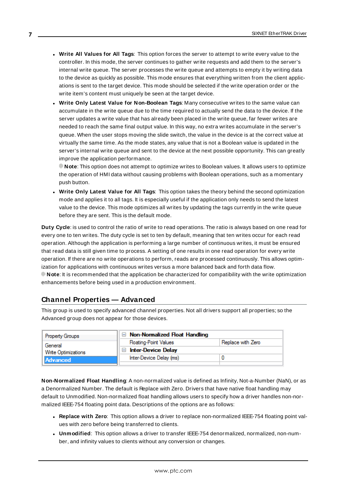- <sup>l</sup> **Write All Values for All Tags**: This option forces the server to attempt to write every value to the controller. In this mode, the server continues to gather write requests and add them to the server's internal write queue. The server processes the write queue and attempts to empty it by writing data to the device as quickly as possible. This mode ensures that everything written from the client applications is sent to the target device. This mode should be selected if the write operation order or the write item's content must uniquely be seen at the target device.
- <sup>l</sup> **Write Only Latest Value for Non-Boolean Tags**: Many consecutive writes to the same value can accumulate in the write queue due to the time required to actually send the data to the device. If the server updates a write value that has already been placed in the write queue, far fewer writes are needed to reach the same final output value. In this way, no extra writes accumulate in the server's queue. When the user stops moving the slide switch, the value in the device is at the correct value at virtually the same time. As the mode states, any value that is not a Boolean value is updated in the server's internal write queue and sent to the device at the next possible opportunity. This can greatly improve the application performance.

**Note**: This option does not attempt to optimize writes to Boolean values. It allows users to optimize the operation of HMI data without causing problems with Boolean operations, such as a momentary push button.

**• Write Only Latest Value for All Tags**: This option takes the theory behind the second optimization mode and applies it to all tags. It is especially useful if the application only needs to send the latest value to the device. This mode optimizes all writes by updating the tags currently in the write queue before they are sent. This is the default mode.

**Duty Cycle**: is used to control the ratio of write to read operations. The ratio is always based on one read for every one to ten writes. The duty cycle is set to ten by default, meaning that ten writes occur for each read operation. Although the application is performing a large number of continuous writes, it must be ensured that read data is still given time to process. A setting of one results in one read operation for every write operation. If there are no write operations to perform, reads are processed continuously. This allows optimization for applications with continuous writes versus a more balanced back and forth data flow. **Note**: It is recommended that the application be characterized for compatibility with the write optimization enhancements before being used in a production environment.

### <span id="page-6-0"></span>**Channel Properties — Advanced**

This group is used to specify advanced channel properties. Not all drivers support all properties; so the Advanced group does not appear for those devices.

| <b>Property Groups</b>     | $\Box$ Non-Normalized Float Handling        |                   |
|----------------------------|---------------------------------------------|-------------------|
| General                    | <b>Floating-Point Values</b>                | Replace with Zero |
| <b>Write Optimizations</b> | <b>Inter-Device Delay</b><br>$\blacksquare$ |                   |
| Advanced                   | Inter-Device Delay (ms)                     |                   |
|                            |                                             |                   |

**Non-Normalized Float Handling**: A non-normalized value is defined as Infinity, Not-a-Number (NaN), or as a Denormalized Number. The default is Replace with Zero. Drivers that have native float handling may default to Unmodified. Non-normalized float handling allows users to specify how a driver handles non-normalized IEEE-754 floating point data. Descriptions of the options are as follows:

- <sup>l</sup> **Replace with Zero**: This option allows a driver to replace non-normalized IEEE-754 floating point values with zero before being transferred to clients.
- <sup>l</sup> **Unmodified**: This option allows a driver to transfer IEEE-754 denormalized, normalized, non-number, and infinity values to clients without any conversion or changes.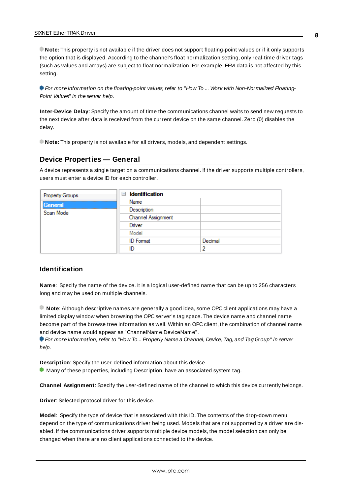**Note:** This property is not available if the driver does not support floating-point values or if it only supports the option that is displayed. According to the channel's float normalization setting, only real-time driver tags (such as values and arrays) are subject to float normalization. For example, EFM data is not affected by this setting.

For more information on the floating-point values, refer to "How To ... Work with Non-Normalized Floating-Point Values" in the server help.

**Inter-Device Delay**: Specify the amount of time the communications channel waits to send new requests to the next device after data is received from the current device on the same channel. Zero (0) disables the delay.

<span id="page-7-0"></span>**Note:** This property is not available for all drivers, models, and dependent settings.

#### **Device Properties — General**

A device represents a single target on a communications channel. If the driver supports multiple controllers, users must enter a device ID for each controller.

| <b>Property Groups</b> | $\Box$ Identification |         |
|------------------------|-----------------------|---------|
| General                | Name                  |         |
| Scan Mode              | Description           |         |
|                        | Channel Assignment    |         |
|                        | Driver                |         |
|                        | Model                 |         |
|                        | <b>ID</b> Format      | Decimal |
|                        | ID                    |         |

#### <span id="page-7-4"></span>**Identification**

**Name**: Specify the name of the device. It is a logical user-defined name that can be up to 256 characters long and may be used on multiple channels.

**Note**: Although descriptive names are generally a good idea, some OPC client applications may have a limited display window when browsing the OPC server's tag space. The device name and channel name become part of the browse tree information as well. Within an OPC client, the combination of channel name and device name would appear as "ChannelName.DeviceName".

For more information, refer to "How To... Properly Name a Channel, Device, Tag, and Tag Group" in server help.

**Description**: Specify the user-defined information about this device.

<span id="page-7-1"></span> $\bullet$  Many of these properties, including Description, have an associated system tag.

<span id="page-7-2"></span>**Channel Assignment**: Specify the user-defined name of the channel to which this device currently belongs.

<span id="page-7-3"></span>**Driver**: Selected protocol driver for this device.

**Model**: Specify the type of device that is associated with this ID. The contents of the drop-down menu depend on the type of communications driver being used. Models that are not supported by a driver are disabled. If the communications driver supports multiple device models, the model selection can only be changed when there are no client applications connected to the device.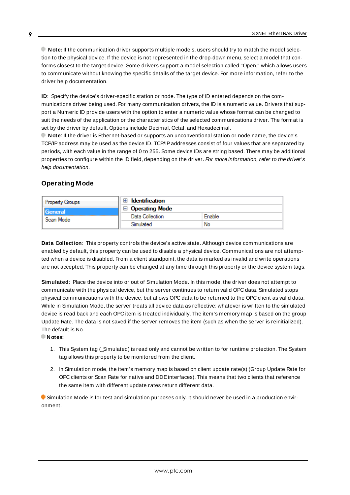**Note:** If the communication driver supports multiple models, users should try to match the model selection to the physical device. If the device is not represented in the drop-down menu, select a model that conforms closest to the target device. Some drivers support a model selection called "Open," which allows users to communicate without knowing the specific details of the target device. For more information, refer to the driver help documentation.

<span id="page-8-2"></span>**ID**: Specify the device's driver-specific station or node. The type of ID entered depends on the communications driver being used. For many communication drivers, the ID is a numeric value. Drivers that support a Numeric ID provide users with the option to enter a numeric value whose format can be changed to suit the needs of the application or the characteristics of the selected communications driver. The format is set by the driver by default. Options include Decimal, Octal, and Hexadecimal.

**Note**: If the driver is Ethernet-based or supports an unconventional station or node name, the device's TCP/IPaddress may be used as the device ID. TCP/IPaddresses consist of four values that are separated by periods, with each value in the range of 0 to 255. Some device IDs are string based. There may be additional properties to configure within the ID field, depending on the driver. For more information, refer to the driver's help documentation.

### <span id="page-8-0"></span>**Operating Mode**

| Property Groups             | <b>Identification</b> |        |
|-----------------------------|-----------------------|--------|
| <b>General</b><br>Scan Mode | <b>Operating Mode</b> |        |
|                             | Data Collection       | Enable |
|                             | Simulated             | No     |

<span id="page-8-1"></span>**Data Collection**: This property controls the device's active state. Although device communications are enabled by default, this property can be used to disable a physical device. Communications are not attempted when a device is disabled. From a client standpoint, the data is marked as invalid and write operations are not accepted. This property can be changed at any time through this property or the device system tags.

<span id="page-8-3"></span>**Simulated**: Place the device into or out of Simulation Mode. In this mode, the driver does not attempt to communicate with the physical device, but the server continues to return valid OPC data. Simulated stops physical communications with the device, but allows OPC data to be returned to the OPC client as valid data. While in Simulation Mode, the server treats all device data as reflective: whatever is written to the simulated device is read back and each OPC item is treated individually. The item's memory map is based on the group Update Rate. The data is not saved if the server removes the item (such as when the server is reinitialized). The default is No.

**Notes:**

- 1. This System tag (\_Simulated) is read only and cannot be written to for runtime protection. The System tag allows this property to be monitored from the client.
- 2. In Simulation mode, the item's memory map is based on client update rate(s) (Group Update Rate for OPC clients or Scan Rate for native and DDEinterfaces). This means that two clients that reference the same item with different update rates return different data.

 Simulation Mode is for test and simulation purposes only. It should never be used in a production environment.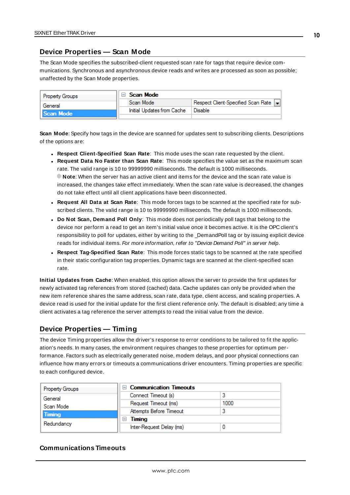#### <span id="page-9-0"></span>**Device Properties — Scan Mode**

The Scan Mode specifies the subscribed-client requested scan rate for tags that require device communications. Synchronous and asynchronous device reads and writes are processed as soon as possible; unaffected by the Scan Mode properties.

| <b>Property Groups</b> | Scan Mode                  |                                    |
|------------------------|----------------------------|------------------------------------|
| General                | Scan Mode                  | Respect Client-Specified Scan Rate |
| Scan Mode              | Initial Updates from Cache | Disable                            |
|                        |                            |                                    |

<span id="page-9-6"></span>**Scan Mode**: Specify how tags in the device are scanned for updates sent to subscribing clients. Descriptions of the options are:

- <sup>l</sup> **Respect Client-Specified Scan Rate**: This mode uses the scan rate requested by the client.
- <sup>l</sup> **Request Data No Faster than Scan Rate**: This mode specifies the value set as the maximum scan rate. The valid range is 10 to 99999990 milliseconds. The default is 1000 milliseconds. **Note**: When the server has an active client and items for the device and the scan rate value is increased, the changes take effect immediately. When the scan rate value is decreased, the changes do not take effect until all client applications have been disconnected.
- <sup>l</sup> **Request All Data at Scan Rate**: This mode forces tags to be scanned at the specified rate for subscribed clients. The valid range is 10 to 99999990 milliseconds. The default is 1000 milliseconds.
- <span id="page-9-3"></span><sup>l</sup> **Do Not Scan, Demand Poll Only**: This mode does not periodically poll tags that belong to the device nor perform a read to get an item's initial value once it becomes active. It is the OPC client's responsibility to poll for updates, either by writing to the \_DemandPoll tag or by issuing explicit device reads for individual items. For more information, refer to "Device Demand Poll" in server help.
- <span id="page-9-5"></span><sup>l</sup> **Respect Tag-Specified Scan Rate**: This mode forces static tags to be scanned at the rate specified in their static configuration tag properties. Dynamic tags are scanned at the client-specified scan rate.

<span id="page-9-4"></span>**Initial Updates from Cache**: When enabled, this option allows the server to provide the first updates for newly activated tag references from stored (cached) data. Cache updates can only be provided when the new item reference shares the same address, scan rate, data type, client access, and scaling properties. A device read is used for the initial update for the first client reference only. The default is disabled; any time a client activates a tag reference the server attempts to read the initial value from the device.

#### <span id="page-9-2"></span><span id="page-9-1"></span>**Device Properties — Timing**

The device Timing properties allow the driver's response to error conditions to be tailored to fit the application's needs. In many cases, the environment requires changes to these properties for optimum performance. Factors such as electrically generated noise, modem delays, and poor physical connections can influence how many errors or timeouts a communications driver encounters. Timing properties are specific to each configured device.

| <b>Property Groups</b> | $\Box$ Communication Timeouts      |      |
|------------------------|------------------------------------|------|
| General                | Connect Timeout (s)                |      |
| Scan Mode              | Request Timeout (ms)               | 1000 |
| <b>Timing</b>          | Attempts Before Timeout            |      |
| Redundancy             | Timina<br>$\overline{\phantom{a}}$ |      |
|                        | Inter-Request Delay (ms)           |      |

### **Communications Timeouts**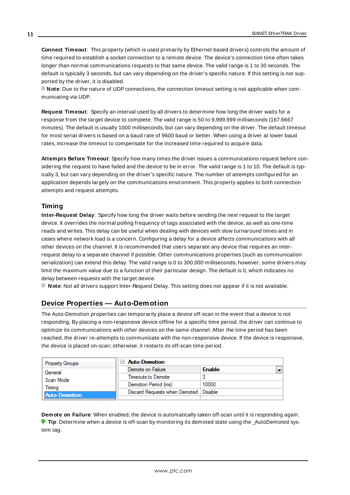<span id="page-10-2"></span>**Connect Timeout**: This property (which is used primarily by Ethernet based drivers) controls the amount of time required to establish a socket connection to a remote device. The device's connection time often takes longer than normal communications requests to that same device. The valid range is 1 to 30 seconds. The default is typically 3 seconds, but can vary depending on the driver's specific nature. If this setting is not supported by the driver, it is disabled.

**Note**: Due to the nature of UDPconnections, the connection timeout setting is not applicable when communicating via UDP.

<span id="page-10-5"></span>**Request Timeout**: Specify an interval used by all drivers to determine how long the driver waits for a response from the target device to complete. The valid range is 50 to 9,999,999 milliseconds (167.6667 minutes). The default is usually 1000 milliseconds, but can vary depending on the driver. The default timeout for most serial drivers is based on a baud rate of 9600 baud or better. When using a driver at lower baud rates, increase the timeout to compensate for the increased time required to acquire data.

<span id="page-10-1"></span>**Attempts Before Timeout**: Specify how many times the driver issues a communications request before considering the request to have failed and the device to be in error. The valid range is 1 to 10. The default is typically 3, but can vary depending on the driver's specific nature. The number of attempts configured for an application depends largely on the communications environment. This property applies to both connection attempts and request attempts.

### <span id="page-10-4"></span>**Timing**

**Inter-Request Delay**: Specify how long the driver waits before sending the next request to the target device. It overrides the normal polling frequency of tags associated with the device, as well as one-time reads and writes. This delay can be useful when dealing with devices with slow turnaround times and in cases where network load is a concern. Configuring a delay for a device affects communications with all other devices on the channel. It is recommended that users separate any device that requires an interrequest delay to a separate channel if possible. Other communications properties (such as communication serialization) can extend this delay. The valid range is 0 to 300,000 milliseconds; however, some drivers may limit the maximum value due to a function of their particular design. The default is 0, which indicates no delay between requests with the target device.

<span id="page-10-0"></span>**Note**: Not all drivers support Inter-Request Delay. This setting does not appear if it is not available.

### **Device Properties — Auto-Demotion**

The Auto-Demotion properties can temporarily place a device off-scan in the event that a device is not responding. By placing a non-responsive device offline for a specific time period, the driver can continue to optimize its communications with other devices on the same channel. After the time period has been reached, the driver re-attempts to communicate with the non-responsive device. If the device is responsive, the device is placed on-scan; otherwise, it restarts its off-scan time period.

| <b>Property Groups</b> | <b>Auto-Demotion</b>                    |                                           |
|------------------------|-----------------------------------------|-------------------------------------------|
| General                | Demote on Failure                       | $\overline{\phantom{a}}$<br><b>Enable</b> |
| Scan Mode              | Timeouts to Demote                      | 3                                         |
| Timina                 | Demotion Period (ms)                    | 10000                                     |
| <b>Auto-Demotion</b>   | Discard Requests when Demoted   Disable |                                           |
|                        |                                         |                                           |

<span id="page-10-3"></span>**Demote on Failure**: When enabled, the device is automatically taken off-scan until it is responding again. **Tip**: Determine when a device is off-scan by monitoring its demoted state using the AutoDemoted system tag.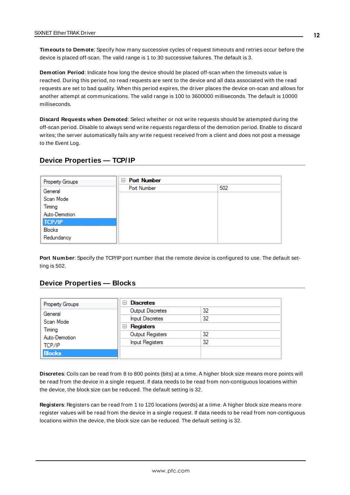<span id="page-11-7"></span>**Timeouts to Demote**: Specify how many successive cycles of request timeouts and retries occur before the device is placed off-scan. The valid range is 1 to 30 successive failures. The default is 3.

<span id="page-11-2"></span>**Demotion Period**: Indicate how long the device should be placed off-scan when the timeouts value is reached. During this period, no read requests are sent to the device and all data associated with the read requests are set to bad quality. When this period expires, the driver places the device on-scan and allows for another attempt at communications. The valid range is 100 to 3600000 milliseconds. The default is 10000 milliseconds.

<span id="page-11-3"></span>**Discard Requests when Demoted**: Select whether or not write requests should be attempted during the off-scan period. Disable to always send write requests regardless of the demotion period. Enable to discard writes; the server automatically fails any write request received from a client and does not post a message to the Event Log.

#### <span id="page-11-0"></span>**Device Properties — TCP/ IP**

| <b>Property Groups</b> | <b>E</b> Port Number |     |
|------------------------|----------------------|-----|
| General                | Port Number          | 502 |
| Scan Mode              |                      |     |
| Timing                 |                      |     |
| Auto-Demotion          |                      |     |
| <b>TCP/IP</b>          |                      |     |
| Blocks                 |                      |     |
| Redundancy             |                      |     |

<span id="page-11-5"></span>Port Number: Specify the TCP/IP port number that the remote device is configured to use. The default setting is 502.

#### <span id="page-11-1"></span>**Device Properties — Blocks**

| <b>Property Groups</b> | <b>Discretes</b><br>н  |    |
|------------------------|------------------------|----|
| General                | Output Discretes       | 32 |
| Scan Mode              | <b>Input Discretes</b> | 32 |
| Timing                 | $\Box$ Registers       |    |
| Auto-Demotion          | Output Registers       | 32 |
| TCP/IP                 | <b>Input Registers</b> | 32 |
| <b>Blocks</b>          |                        |    |

<span id="page-11-4"></span>**Discretes**: Coils can be read from 8 to 800 points (bits) at a time. A higher block size means more points will be read from the device in a single request. If data needs to be read from non-contiguous locations within the device, the block size can be reduced. The default setting is 32.

<span id="page-11-6"></span>**Registers**: Registers can be read from 1 to 120 locations (words) at a time. A higher block size means more register values will be read from the device in a single request. If data needs to be read from non-contiguous locations within the device, the block size can be reduced. The default setting is 32.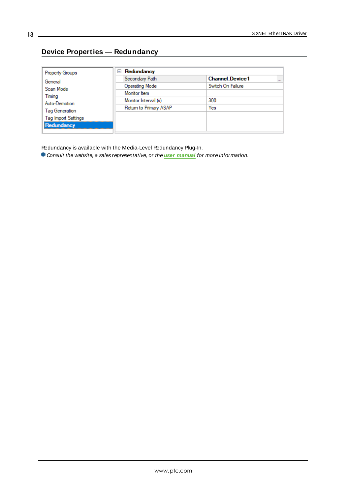# <span id="page-12-0"></span>**Device Properties — Redundancy**

| <b>Property Groups</b>               | Redundancy<br>$=$      |                                    |
|--------------------------------------|------------------------|------------------------------------|
| General                              | Secondary Path         | <b>Channel Device1</b><br>$\cdots$ |
| Scan Mode<br>Timing<br>Auto-Demotion | Operating Mode         | Switch On Failure                  |
|                                      | Monitor Item           |                                    |
|                                      | Monitor Interval (s)   | 300                                |
| <b>Tag Generation</b>                | Return to Primary ASAP | Yes                                |
| <b>Tag Import Settings</b>           |                        |                                    |
| Redundancy                           |                        |                                    |
|                                      |                        |                                    |

Redundancy is available with the Media-Level Redundancy Plug-In.

Consult the website, a sales representative, or the **user [manual](https://www.kepware.com/getattachment/35461efd-b53a-4219-a109-a89fad20b230/media-level-redundancy-manual.pdf)** for more information.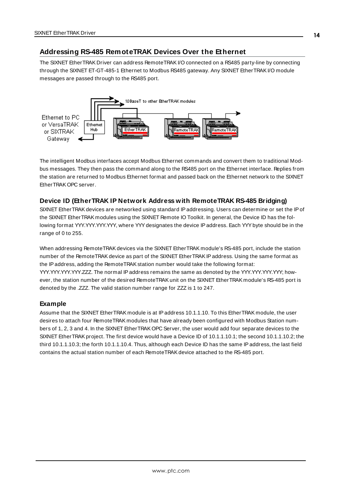### <span id="page-13-0"></span>**Addressing RS-485 RemoteTRAK Devices Over the Ethernet**

The SIXNET EtherTRAK Driver can address RemoteTRAKI/O connected on a RS485 party-line by connecting through the SIXNET ET-GT-485-1 Ethernet to Modbus RS485 gateway. Any SIXNET Ether TRAK I/O module messages are passed through to the RS485 port.



The intelligent Modbus interfaces accept Modbus Ethernet commands and convert them to traditional Modbus messages. They then pass the command along to the RS485 port on the Ethernet interface. Replies from the station are returned to Modbus Ethernet format and passed back on the Ethernet network to the SIXNET EtherTRAK OPC server.

#### **Device ID (EtherTRAK IP Network Address with RemoteTRAK RS-485 Bridging)**

SIXNET EtherTRAKdevices are networked using standard IPaddressing. Users can determine or set the IPof the SIXNET EtherTRAK modules using the SIXNET Remote IO Toolkit. In general, the Device ID has the following format YYY.YYY.YYY.YYY, where YYYdesignates the device IPaddress. Each YYYbyte should be in the range of 0 to 255.

When addressing RemoteTRAK devices via the SIXNET EtherTRAK module's RS-485 port, include the station number of the RemoteTRAKdevice as part of the SIXNET EtherTRAKIPaddress. Using the same format as the IP address, adding the RemoteTRAK station number would take the following format: YYY.YYY.YYY.YYY.ZZZ. The normal IPaddress remains the same as denoted by the YYY.YYY.YYY.YYY; however, the station number of the desired RemoteTRAK unit on the SIXNET EtherTRAK module's RS-485 port is denoted by the .ZZZ. The valid station number range for ZZZ is 1 to 247.

#### **Example**

Assume that the SIXNET EtherTRAK module is at IPaddress 10.1.1.10. To this EtherTRAK module, the user desires to attach four RemoteTRAK modules that have already been configured with Modbus Station numbers of 1, 2, 3 and 4. In the SIXNET EtherTRAK OPC Server, the user would add four separate devices to the SIXNET EtherTRAKproject. The first device would have a Device ID of 10.1.1.10.1; the second 10.1.1.10.2; the third 10.1.1.10.3; the forth 10.1.1.10.4. Thus, although each Device ID has the same IPaddress, the last field contains the actual station number of each RemoteTRAK device attached to the RS-485 port.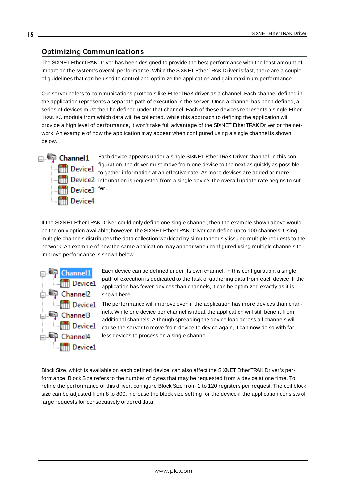## <span id="page-14-2"></span><span id="page-14-0"></span>**Optimizing Communications**

The SIXNET EtherTRAK Driver has been designed to provide the best performance with the least amount of impact on the system's overall performance. While the SIXNET EtherTRAK Driver is fast, there are a couple of guidelines that can be used to control and optimize the application and gain maximum performance.

Our server refers to communications protocols like EtherTRAK driver as a channel. Each channel defined in the application represents a separate path of execution in the server. Once a channel has been defined, a series of devices must then be defined under that channel. Each of these devices represents a single Ether-TRAKI/O module from which data will be collected. While this approach to defining the application will provide a high level of performance, it won't take full advantage of the SIXNET EtherTRAK Driver or the network. An example of how the application may appear when configured using a single channel is shown below.



Each device appears under a single SIXNET EtherTRAK Driver channel. In this configuration, the driver must move from one device to the next as quickly as possible to gather information at an effective rate. As more devices are added or more **information** is requested from a single device, the overall update rate begins to suf-

If the SIXNET EtherTRAK Driver could only define one single channel, then the example shown above would be the only option available; however, the SIXNET EtherTRAK Driver can define up to 100 channels. Using multiple channels distributes the data collection workload by simultaneously issuing multiple requests to the network. An example of how the same application may appear when configured using multiple channels to improve performance is shown below.



Each device can be defined under its own channel. In this configuration, a single path of execution is dedicated to the task of gathering data from each device. If the application has fewer devices than channels, it can be optimized exactly as it is shown here.

The performance will improve even if the application has more devices than channels. While one device per channel is ideal, the application will still benefit from additional channels. Although spreading the device load across all channels will cause the server to move from device to device again, it can now do so with far less devices to process on a single channel.

<span id="page-14-1"></span>Block Size, which is available on each defined device, can also affect the SIXNET EtherTRAK Driver's performance. Block Size refers to the number of bytes that may be requested from a device at one time. To refine the performance of this driver, configure Block Size from 1 to 120 registers per request. The coil block size can be adjusted from 8 to 800. Increase the block size setting for the device if the application consists of large requests for consecutively ordered data.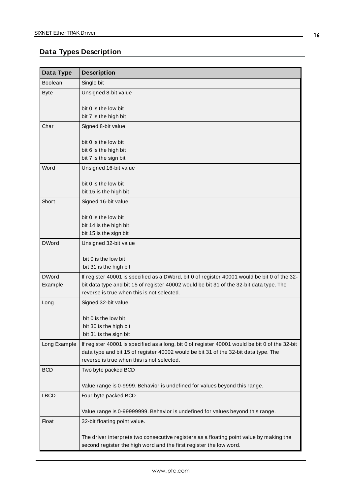# <span id="page-15-0"></span>**Data Types Description**

<span id="page-15-8"></span><span id="page-15-7"></span><span id="page-15-6"></span><span id="page-15-5"></span><span id="page-15-4"></span><span id="page-15-3"></span><span id="page-15-2"></span><span id="page-15-1"></span>

| Data Type      | <b>Description</b>                                                                             |
|----------------|------------------------------------------------------------------------------------------------|
| <b>Boolean</b> | Single bit                                                                                     |
| <b>Byte</b>    | Unsigned 8-bit value                                                                           |
|                | bit 0 is the low bit                                                                           |
|                | bit 7 is the high bit                                                                          |
| Char           | Signed 8-bit value                                                                             |
|                | bit 0 is the low bit                                                                           |
|                | bit 6 is the high bit                                                                          |
|                | bit 7 is the sign bit                                                                          |
| Word           | Unsigned 16-bit value                                                                          |
|                | bit 0 is the low bit                                                                           |
|                | bit 15 is the high bit                                                                         |
| Short          | Signed 16-bit value                                                                            |
|                | bit 0 is the low bit                                                                           |
|                | bit 14 is the high bit                                                                         |
|                | bit 15 is the sign bit                                                                         |
| <b>DWord</b>   | Unsigned 32-bit value                                                                          |
|                | bit 0 is the low bit                                                                           |
|                | bit 31 is the high bit                                                                         |
| <b>DWord</b>   | If register 40001 is specified as a DWord, bit 0 of register 40001 would be bit 0 of the 32-   |
| Example        | bit data type and bit 15 of register 40002 would be bit 31 of the 32-bit data type. The        |
|                | reverse is true when this is not selected.                                                     |
| Long           | Signed 32-bit value                                                                            |
|                | bit 0 is the low bit                                                                           |
|                | bit 30 is the high bit                                                                         |
|                | bit 31 is the sign bit                                                                         |
| Long Example   | If register 40001 is specified as a long, bit 0 of register 40001 would be bit 0 of the 32-bit |
|                | data type and bit 15 of register 40002 would be bit 31 of the 32-bit data type. The            |
|                | reverse is true when this is not selected.                                                     |
| <b>BCD</b>     | Two byte packed BCD                                                                            |
|                | Value range is 0-9999. Behavior is undefined for values beyond this range.                     |
| <b>LBCD</b>    | Four byte packed BCD                                                                           |
|                | Value range is 0-99999999. Behavior is undefined for values beyond this range.                 |
| <b>Float</b>   | 32-bit floating point value.                                                                   |
|                | The driver interprets two consecutive registers as a floating point value by making the        |
|                | second register the high word and the first register the low word.                             |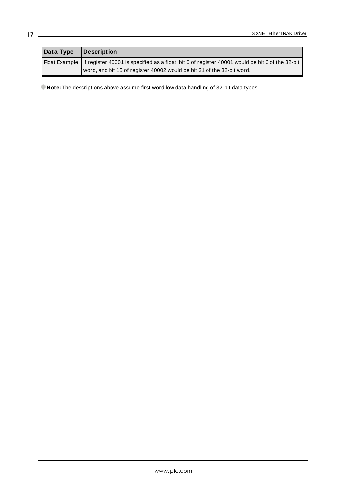| Data Type | Description                                                                                                     |
|-----------|-----------------------------------------------------------------------------------------------------------------|
|           | Float Example   If register 40001 is specified as a float, bit 0 of register 40001 would be bit 0 of the 32-bit |
|           | word, and bit 15 of register 40002 would be bit 31 of the 32-bit word.                                          |

**Note:** The descriptions above assume first word low data handling of 32-bit data types.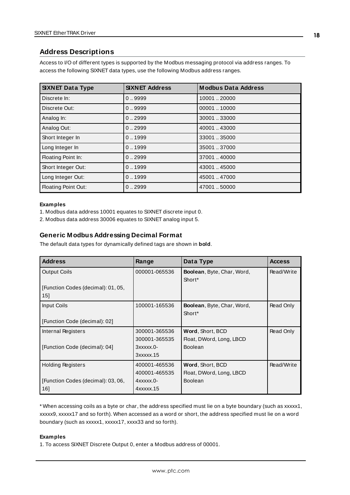### <span id="page-17-0"></span>**Address Descriptions**

Access to I/O of different types is supported by the Modbus messaging protocol via address ranges. To access the following SIXNET data types, use the following Modbus address ranges.

| <b>SIXNET Data Type</b> | <b>SIXNET Address</b> | <b>Modbus Data Address</b> |
|-------------------------|-----------------------|----------------------------|
| Discrete In:            | 0.9999                | 10001 20000                |
| Discrete Out:           | 0.9999                | 0000110000                 |
| Analog In:              | 0.2999                | 30001 33000                |
| Analog Out:             | 0.2999                | 40001.43000                |
| Short Integer In        | 0.1999                | 33001.35000                |
| Long Integer In         | 0.1999                | 35001.37000                |
| Floating Point In:      | 0.2999                | 37001.40000                |
| Short Integer Out:      | 0.1999                | 43001.45000                |
| Long Integer Out:       | 0.1999                | 45001.47000                |
| Floating Point Out:     | 0.2999                | 47001.50000                |

#### **Examples**

1. Modbus data address 10001 equates to SIXNET discrete input 0.

2. Modbus data address 30006 equates to SIXNET analog input 5.

#### **Generic Modbus Addressing Decimal Format**

The default data types for dynamically defined tags are shown in **bold**.

<span id="page-17-2"></span><span id="page-17-1"></span>

| <b>Address</b>                     | Range               | Data Type                         | <b>Access</b> |
|------------------------------------|---------------------|-----------------------------------|---------------|
| <b>Output Coils</b>                | 000001-065536       | Boolean, Byte, Char, Word,        | Read/Write    |
|                                    |                     | Short <sup>*</sup>                |               |
| [Function Codes (decimal): 01, 05, |                     |                                   |               |
| 15]                                |                     |                                   |               |
| Input Coils                        | 100001-165536       | <b>Boolean, Byte, Char, Word,</b> | Read Only     |
|                                    |                     | Short <sup>*</sup>                |               |
| [Function Code (decimal): 02]      |                     |                                   |               |
| Internal Registers                 | 300001-365536       | Word, Short, BCD                  | Read Only     |
|                                    | 300001-365535       | Float, DWord, Long, LBCD          |               |
| [Function Code (decimal): 04]      | 3xxxxx.0-           | <b>Boolean</b>                    |               |
|                                    | $3x$ $xx$ $x$ $.15$ |                                   |               |
| <b>Holding Registers</b>           | 400001-465536       | Word, Short, BCD                  | Read/Write    |
|                                    | 400001-465535       | Float, DWord, Long, LBCD          |               |
| [Function Codes (decimal): 03, 06, | $4$ xxxxx.0-        | <b>Boolean</b>                    |               |
| 16]                                | 4xxxxx.15           |                                   |               |

\* When accessing coils as a byte or char, the address specified must lie on a byte boundary (such as xxxxx1, xxxxx9, xxxxx17 and so forth). When accessed as a word or short, the address specified must lie on a word boundary (such as xxxxx1, xxxxx17, xxxx33 and so forth).

#### **Examples**

1. To access SIXNET Discrete Output 0, enter a Modbus address of 00001.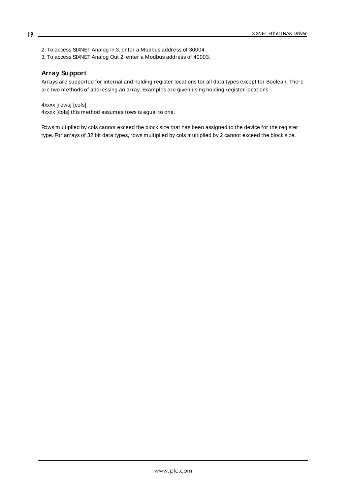2. To access SIXNET Analog In 3, enter a Modbus address of 30004.

3. To access SIXNET Analog Out 2, enter a Modbus address of 40003.

#### **Array Support**

Arrays are supported for internal and holding register locations for all data types except for Boolean. There are two methods of addressing an array. Examples are given using holding register locations.

4xxxx [rows] [cols] 4xxxx [cols] this method assumes rows is equal to one.

Rows multiplied by cols cannot exceed the block size that has been assigned to the device for the register type. For arrays of 32 bit data types, rows multiplied by cols multiplied by 2 cannot exceed the block size.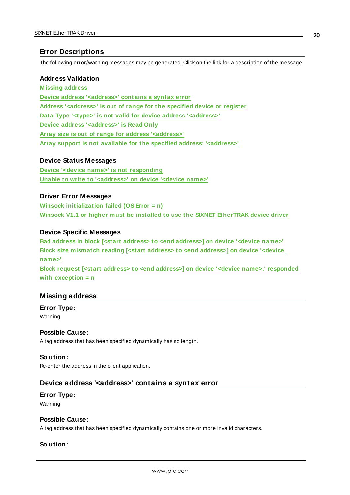### <span id="page-19-0"></span>**Error Descriptions**

The following error/warning messages may be generated. Click on the link for a description of the message.

#### **Address Validation**

**[M issing](#page-19-1) address Device address ['<address>'](#page-19-2) contains a syntax error Address ['<address>'](#page-20-0) is out of range for the specified device or register Data Type '<type>' is not valid for device address ['<address>'](#page-20-1) Device address ['<address>'](#page-20-2) is Read Only Array size is out of range for address ['<address>'](#page-20-3) Array support is not available for the specified address: ['<address>'](#page-21-0)**

#### **Device Status Messages**

**Device '<device name>' is not [responding](#page-21-1) Unable to write to ['<address>'](#page-21-2) on device '<device name>'**

#### **Driver Error Messages**

**Winsock [initialization](#page-22-0) failed (OSError = n) Winsock V1.1 or higher must be installed to use the SIXNET [EtherTRAK](#page-22-1) device driver**

#### **Device Specific Messages**

**Bad address in block [<start address> to <end [address>\]](#page-22-2) on device '<device name>' Block size [mismatch](#page-22-3) reading [<start address> to <end address>] on device '<device [name>'](#page-22-3) Block request [<start address> to <end address>] on device '<device name>.' [responded](#page-23-0) with [exception](#page-23-0) = n**

#### <span id="page-19-1"></span>**Missing address**

#### **Error Type:** Warning

# **Possible Cause:**

A tag address that has been specified dynamically has no length.

#### **Solution:**

<span id="page-19-2"></span>Re-enter the address in the client application.

#### **Device address '<address>' contains a syntax error**

#### **Error Type:**

Warning

#### **Possible Cause:**

A tag address that has been specified dynamically contains one or more invalid characters.

#### **Solution:**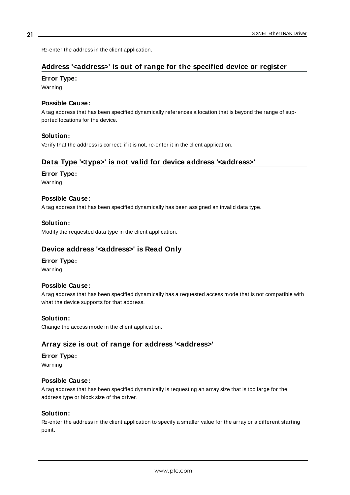<span id="page-20-0"></span>Re-enter the address in the client application.

### **Address '<address>' is out of range for the specified device or register**

#### **Error Type:**

Warning

#### **Possible Cause:**

A tag address that has been specified dynamically references a location that is beyond the range of supported locations for the device.

#### **Solution:**

<span id="page-20-1"></span>Verify that the address is correct; if it is not, re-enter it in the client application.

## **Data Type '<type>' is not valid for device address '<address>'**

#### **Error Type:**

Warning

#### **Possible Cause:**

A tag address that has been specified dynamically has been assigned an invalid data type.

#### **Solution:**

<span id="page-20-2"></span>Modify the requested data type in the client application.

### **Device address '<address>' is Read Only**

#### **Error Type:**

Warning

#### **Possible Cause:**

A tag address that has been specified dynamically has a requested access mode that is not compatible with what the device supports for that address.

#### **Solution:**

<span id="page-20-3"></span>Change the access mode in the client application.

#### **Array size is out of range for address '<address>'**

#### **Error Type:**

Warning

#### **Possible Cause:**

A tag address that has been specified dynamically is requesting an array size that is too large for the address type or block size of the driver.

#### **Solution:**

Re-enter the address in the client application to specify a smaller value for the array or a different starting point.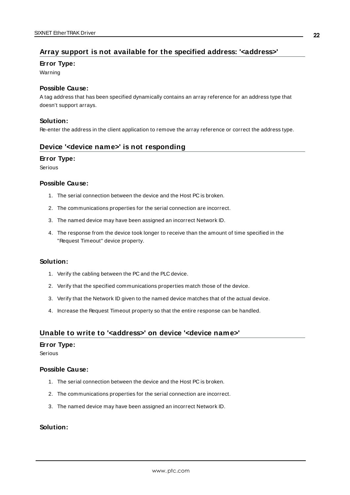### <span id="page-21-0"></span>**Array support is not available for the specified address: '<address>'**

#### **Error Type:**

Warning

#### **Possible Cause:**

A tag address that has been specified dynamically contains an array reference for an address type that doesn't support arrays.

#### **Solution:**

<span id="page-21-1"></span>Re-enter the address in the client application to remove the array reference or correct the address type.

#### **Device '<device name>' is not responding**

#### **Error Type:**

Serious

#### **Possible Cause:**

- 1. The serial connection between the device and the Host PC is broken.
- 2. The communications properties for the serial connection are incorrect.
- 3. The named device may have been assigned an incorrect Network ID.
- 4. The response from the device took longer to receive than the amount of time specified in the "Request Timeout" device property.

#### **Solution:**

- 1. Verify the cabling between the PC and the PLC device.
- 2. Verify that the specified communications properties match those of the device.
- 3. Verify that the Network ID given to the named device matches that of the actual device.
- 4. Increase the Request Timeout property so that the entire response can be handled.

#### <span id="page-21-2"></span>**Unable to write to '<address>' on device '<device name>'**

#### **Error Type:**

Serious

#### **Possible Cause:**

- 1. The serial connection between the device and the Host PC is broken.
- 2. The communications properties for the serial connection are incorrect.
- 3. The named device may have been assigned an incorrect Network ID.

#### **Solution:**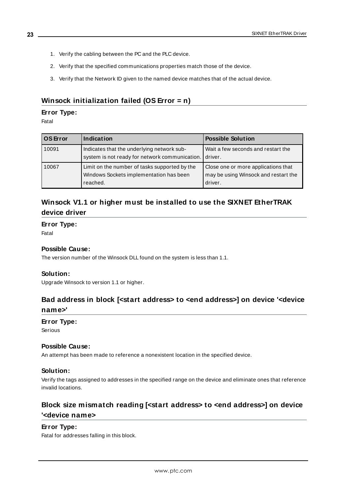- 1. Verify the cabling between the PC and the PLC device.
- 2. Verify that the specified communications properties match those of the device.
- 3. Verify that the Network ID given to the named device matches that of the actual device.

### <span id="page-22-0"></span>**Winsock initialization failed (OS Error = n)**

#### **Error Type:**

Fatal

| l OS Error | Indication                                                                                           | <b>Possible Solution</b>                                                               |
|------------|------------------------------------------------------------------------------------------------------|----------------------------------------------------------------------------------------|
| 10091      | Indicates that the underlying network sub-<br>system is not ready for network communication.         | Wait a few seconds and restart the<br>I driver.                                        |
| 10067      | Limit on the number of tasks supported by the<br>Windows Sockets implementation has been<br>reached. | Close one or more applications that<br>may be using Winsock and restart the<br>driver. |

# <span id="page-22-1"></span>**Winsock V1.1 or higher must be installed to use the SIXNET EtherTRAK device driver**

#### **Error Type:**

Fatal

#### **Possible Cause:**

The version number of the Winsock DLL found on the system is less than 1.1.

#### **Solution:**

<span id="page-22-2"></span>Upgrade Winsock to version 1.1 or higher.

# **Bad address in block [<start address> to <end address>] on device '<device name>'**

#### **Error Type:**

Serious

#### **Possible Cause:**

An attempt has been made to reference a nonexistent location in the specified device.

#### **Solution:**

Verify the tags assigned to addresses in the specified range on the device and eliminate ones that reference invalid locations.

# <span id="page-22-3"></span>**Block size mismatch reading [<start address> to <end address>] on device '<device name>**

#### **Error Type:**

Fatal for addresses falling in this block.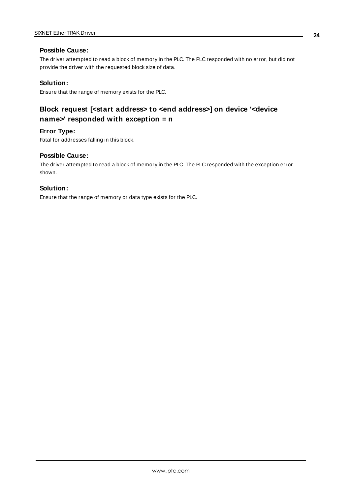#### **Possible Cause:**

The driver attempted to read a block of memory in the PLC. The PLC responded with no error, but did not provide the driver with the requested block size of data.

#### **Solution:**

<span id="page-23-0"></span>Ensure that the range of memory exists for the PLC.

# **Block request [<start address> to <end address>] on device '<device name>' responded with exception = n**

#### **Error Type:**

Fatal for addresses falling in this block.

#### **Possible Cause:**

The driver attempted to read a block of memory in the PLC. The PLC responded with the exception error shown.

#### **Solution:**

Ensure that the range of memory or data type exists for the PLC.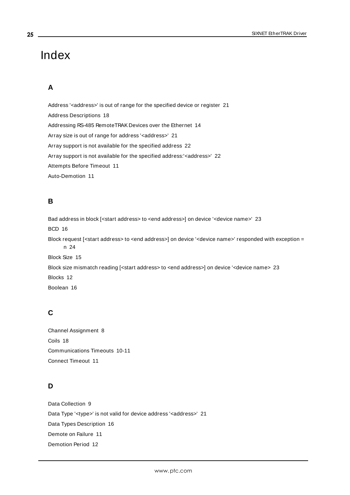# <span id="page-24-0"></span>Index

# **A**

Address '<address>' is out of range for the specified device or register [21](#page-20-0) Address Descriptions [18](#page-17-0) Addressing RS-485 RemoteTRAK Devices over the Ethernet [14](#page-13-0) Array size is out of range for address '<address>' [21](#page-20-3) Array support is not available for the specified address [22](#page-21-0) Array support is not available for the specified address:'<address>' [22](#page-21-0) Attempts Before Timeout [11](#page-10-1) Auto-Demotion [11](#page-10-0)

## **B**

Bad address in block [<start address> to <end address>] on device '<device name>' [23](#page-22-2) BCD [16](#page-15-1) Block request [<start address> to <end address>] on device '<device name>' responded with exception = n [24](#page-23-0) Block Size [15](#page-14-1) Block size mismatch reading [<start address> to <end address>] on device '<device name> [23](#page-22-3) Blocks [12](#page-11-1) Boolean [16](#page-15-2)

# **C**

Channel Assignment [8](#page-7-1) Coils [18](#page-17-1) Communications Timeouts [10-11](#page-9-2) Connect Timeout [11](#page-10-2)

# **D**

Data Collection [9](#page-8-1) Data Type '<type>' is not valid for device address '<address>' [21](#page-20-1) Data Types Description [16](#page-15-0) Demote on Failure [11](#page-10-3) Demotion Period [12](#page-11-2)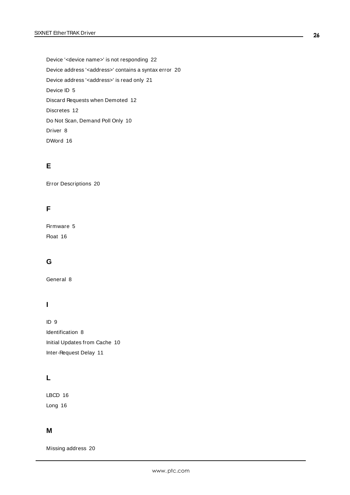Device '<device name>' is not responding [22](#page-21-1) Device address '< address>' contains a syntax error [20](#page-19-2) Device address '< address>' is read only [21](#page-20-2) Device ID [5](#page-4-2) Discard Requests when Demoted [12](#page-11-3) Discretes [12](#page-11-4) Do Not Scan, Demand Poll Only [10](#page-9-3) Driver [8](#page-7-2) DWord [16](#page-15-3)

### **E**

Error Descriptions [20](#page-19-0)

# **F**

Firmware [5](#page-4-3) Float [16](#page-15-4)

# **G**

General [8](#page-7-0)

# **I**

ID [9](#page-8-2) Identification [8](#page-7-0) Initial Updates from Cache [10](#page-9-4) Inter-Request Delay [11](#page-10-4)

# **L**

LBCD [16](#page-15-5) Long [16](#page-15-6)

### **M**

Missing address [20](#page-19-1)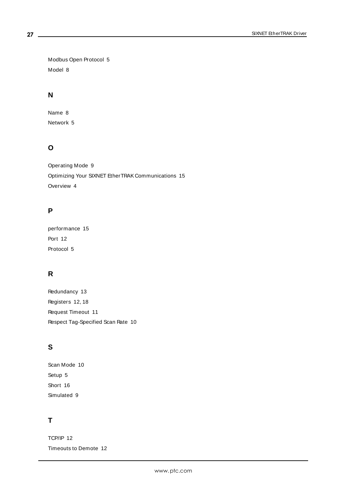Modbus Open Protocol [5](#page-4-4) Model [8](#page-7-3)

## **N**

Name [8](#page-7-4) Network [5](#page-4-2)

# **O**

Operating Mode [9](#page-8-0) Optimizing Your SIXNET EtherTRAK Communications [15](#page-14-0) Overview [4](#page-3-1)

# **P**

performance [15](#page-14-2) Port [12](#page-11-5) Protocol [5](#page-4-5)

# **R**

Redundancy [13](#page-12-0) Registers [12,](#page-11-6) [18](#page-17-2) Request Timeout [11](#page-10-5) Respect Tag-Specified Scan Rate [10](#page-9-5)

# **S**

Scan Mode [10](#page-9-6) Setup [5](#page-4-0) Short [16](#page-15-7) Simulated [9](#page-8-3)

# **T**

TCP/IP [12](#page-11-0) Timeouts to Demote [12](#page-11-7)